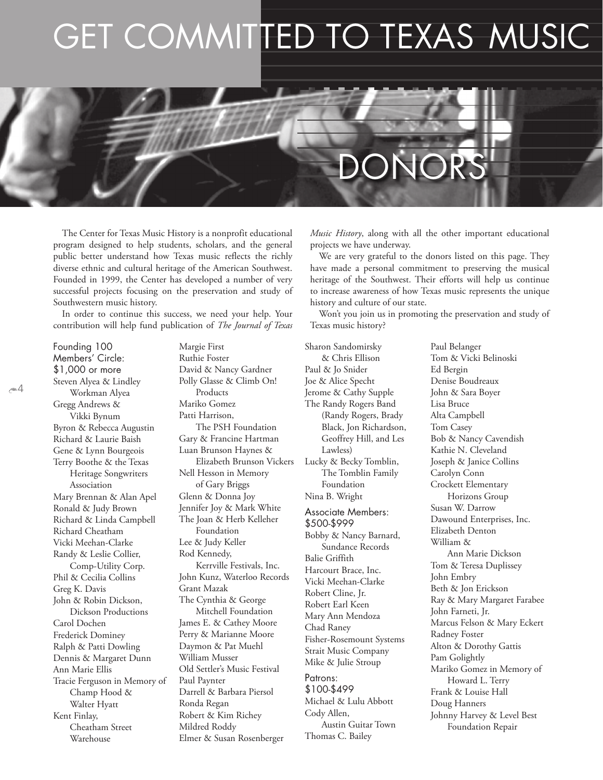## GET COMMITTED TO TEXAS MUSIC

# DONORS

The Center for Texas Music History is a nonprofit educational program designed to help students, scholars, and the general public better understand how Texas music reflects the richly diverse ethnic and cultural heritage of the American Southwest. Founded in 1999, the Center has developed a number of very successful projects focusing on the preservation and study of Southwestern music history.

In order to continue this success, we need your help. Your contribution will help fund publication of *The Journal of Texas* 

Founding 100 Members' Circle: \$1,000 or more Steven Alyea & Lindley Workman Alyea Gregg Andrews & Vikki Bynum Byron & Rebecca Augustin Richard & Laurie Baish Gene & Lynn Bourgeois Terry Boothe & the Texas Heritage Songwriters Association Mary Brennan & Alan Apel Ronald & Judy Brown Richard & Linda Campbell Richard Cheatham Vicki Meehan-Clarke Randy & Leslie Collier, Comp-Utility Corp. Phil & Cecilia Collins Greg K. Davis John & Robin Dickson, Dickson Productions Carol Dochen Frederick Dominey Ralph & Patti Dowling Dennis & Margaret Dunn Ann Marie Ellis Tracie Ferguson in Memory of Champ Hood & Walter Hyatt Kent Finlay, Cheatham Street Warehouse

 $\approx$  4

Margie First Ruthie Foster David & Nancy Gardner Polly Glasse & Climb On! Products Mariko Gomez Patti Harrison, The PSH Foundation Gary & Francine Hartman Luan Brunson Haynes & Elizabeth Brunson Vickers Nell Hesson in Memory of Gary Briggs Glenn & Donna Joy Jennifer Joy & Mark White The Joan & Herb Kelleher Foundation Lee & Judy Keller Rod Kennedy, Kerrville Festivals, Inc. John Kunz, Waterloo Records Grant Mazak The Cynthia & George Mitchell Foundation James E. & Cathey Moore Perry & Marianne Moore Daymon & Pat Muehl William Musser Old Settler's Music Festival Paul Paynter Darrell & Barbara Piersol Ronda Regan Robert & Kim Richey Mildred Roddy Elmer & Susan Rosenberger

*Music History*, along with all the other important educational projects we have underway.

We are very grateful to the donors listed on this page. They have made a personal commitment to preserving the musical heritage of the Southwest. Their efforts will help us continue to increase awareness of how Texas music represents the unique history and culture of our state.

Won't you join us in promoting the preservation and study of Texas music history?

Paul Belanger

Sharon Sandomirsky & Chris Ellison Paul & Jo Snider Joe & Alice Specht Jerome & Cathy Supple The Randy Rogers Band (Randy Rogers, Brady Black, Jon Richardson, Geoffrey Hill, and Les Lawless) Lucky & Becky Tomblin, The Tomblin Family Foundation Nina B. Wright Associate Members: \$500-\$999 Bobby & Nancy Barnard, Sundance Records Balie Griffith Harcourt Brace, Inc. Vicki Meehan-Clarke Robert Cline, Jr. Robert Earl Keen Mary Ann Mendoza Chad Raney Fisher-Rosemount Systems Strait Music Company Mike & Julie Stroup Patrons: \$100-\$499 Michael & Lulu Abbott Cody Allen,

Austin Guitar Town

Thomas C. Bailey

Tom & Vicki Belinoski Ed Bergin Denise Boudreaux John & Sara Boyer Lisa Bruce Alta Campbell Tom Casey Bob & Nancy Cavendish Kathie N. Cleveland Joseph & Janice Collins Carolyn Conn Crockett Elementary Horizons Group Susan W. Darrow Dawound Enterprises, Inc. Elizabeth Denton William & Ann Marie Dickson Tom & Teresa Duplissey John Embry Beth & Jon Erickson Ray & Mary Margaret Farabee John Farneti, Jr. Marcus Felson & Mary Eckert Radney Foster Alton & Dorothy Gattis Pam Golightly Mariko Gomez in Memory of Howard L. Terry Frank & Louise Hall Doug Hanners Johnny Harvey & Level Best Foundation Repair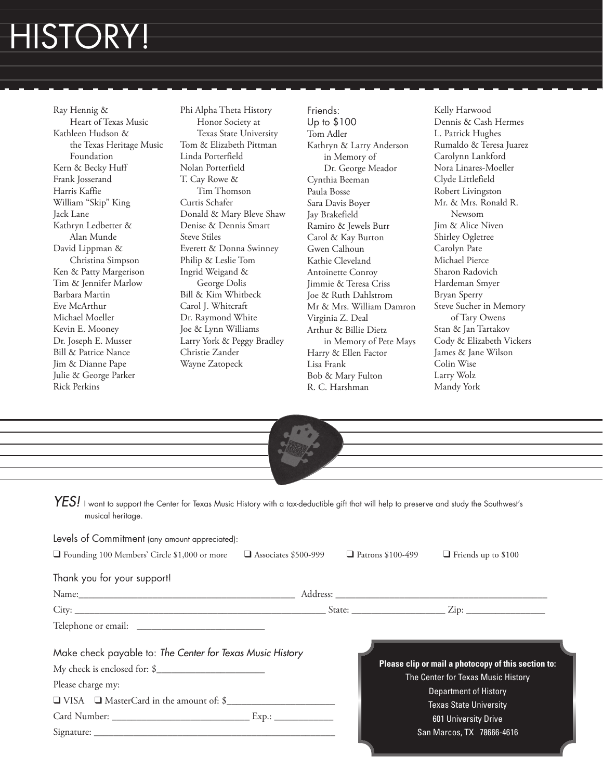### HISTORY!

Ray Hennig & Heart of Texas Music Kathleen Hudson & the Texas Heritage Music Foundation Kern & Becky Huff Frank Josserand Harris Kaffie William "Skip" King Jack Lane Kathryn Ledbetter & Alan Munde David Lippman & Christina Simpson Ken & Patty Margerison Tim & Jennifer Marlow Barbara Martin Eve McArthur Michael Moeller Kevin E. Mooney Dr. Joseph E. Musser Bill & Patrice Nance Jim & Dianne Pape Julie & George Parker Rick Perkins

Phi Alpha Theta History Honor Society at Texas State University Tom & Elizabeth Pittman Linda Porterfield Nolan Porterfield T. Cay Rowe & Tim Thomson Curtis Schafer Donald & Mary Bleve Shaw Denise & Dennis Smart Steve Stiles Everett & Donna Swinney Philip & Leslie Tom Ingrid Weigand & George Dolis Bill & Kim Whitbeck Carol J. Whitcraft Dr. Raymond White Joe & Lynn Williams Larry York & Peggy Bradley Christie Zander Wayne Zatopeck

Friends: Up to \$100 Tom Adler Kathryn & Larry Anderson in Memory of Dr. George Meador Cynthia Beeman Paula Bosse Sara Davis Boyer Jay Brakefield Ramiro & Jewels Burr Carol & Kay Burton Gwen Calhoun Kathie Cleveland Antoinette Conroy Jimmie & Teresa Criss Joe & Ruth Dahlstrom Mr & Mrs. William Damron Virginia Z. Deal Arthur & Billie Dietz in Memory of Pete Mays Harry & Ellen Factor Lisa Frank Bob & Mary Fulton R. C. Harshman

Kelly Harwood Dennis & Cash Hermes L. Patrick Hughes Rumaldo & Teresa Juarez Carolynn Lankford Nora Linares-Moeller Clyde Littlefield Robert Livingston Mr. & Mrs. Ronald R. Newsom Jim & Alice Niven Shirley Ogletree Carolyn Pate Michael Pierce Sharon Radovich Hardeman Smyer Bryan Sperry Steve Sucher in Memory of Tary Owens Stan & Jan Tartakov Cody & Elizabeth Vickers James & Jane Wilson Colin Wise Larry Wolz Mandy York

| the control of the control of the control of the control of the control of the control of the control of the control of the control of the control of the control of the control of the control of the control of the control |                             |                          |                                                                                                                                                                                    |
|-------------------------------------------------------------------------------------------------------------------------------------------------------------------------------------------------------------------------------|-----------------------------|--------------------------|------------------------------------------------------------------------------------------------------------------------------------------------------------------------------------|
| $\textit{YES!}\,$ I want to support the Center for Texas Music History with a tax-deductible gift that will help to preserve and study the Southwest's<br>musical heritage.                                                   |                             |                          |                                                                                                                                                                                    |
| Levels of Commitment (any amount appreciated):                                                                                                                                                                                |                             |                          |                                                                                                                                                                                    |
| Founding 100 Members' Circle \$1,000 or more                                                                                                                                                                                  | $\Box$ Associates \$500-999 | $\Box$ Patrons \$100-499 | $\Box$ Friends up to \$100                                                                                                                                                         |
| Thank you for your support!                                                                                                                                                                                                   |                             |                          |                                                                                                                                                                                    |
|                                                                                                                                                                                                                               |                             |                          |                                                                                                                                                                                    |
|                                                                                                                                                                                                                               |                             |                          |                                                                                                                                                                                    |
|                                                                                                                                                                                                                               |                             |                          |                                                                                                                                                                                    |
|                                                                                                                                                                                                                               |                             |                          |                                                                                                                                                                                    |
| Make check payable to: The Center for Texas Music History<br>Please charge my:<br>□ VISA □ MasterCard in the amount of: \$                                                                                                    |                             |                          | Please clip or mail a photocopy of this section to:<br>The Center for Texas Music History<br><b>Department of History</b><br><b>Texas State University</b><br>601 University Drive |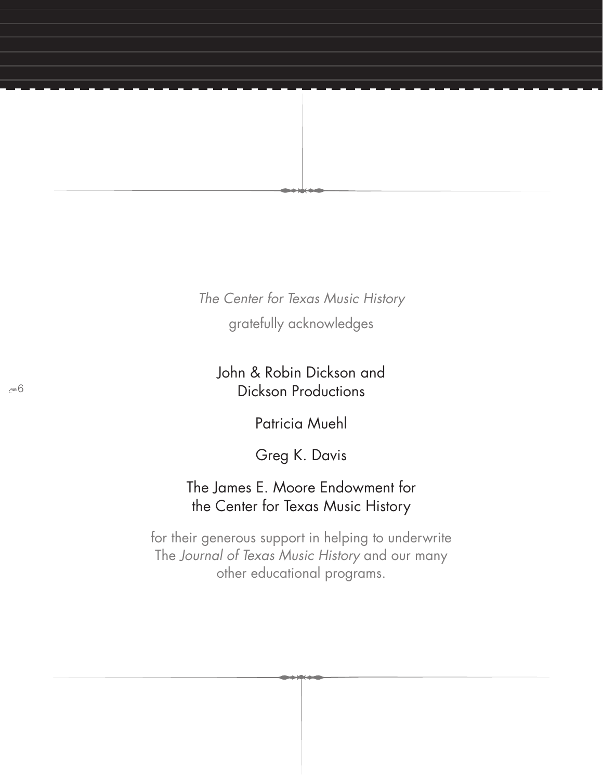*The Center for Texas Music History* gratefully acknowledges

John & Robin Dickson and Dickson Productions

Patricia Muehl

Greg K. Davis

#### The James E. Moore Endowment for the Center for Texas Music History

for their generous support in helping to underwrite The *Journal of Texas Music History* and our many other educational programs.